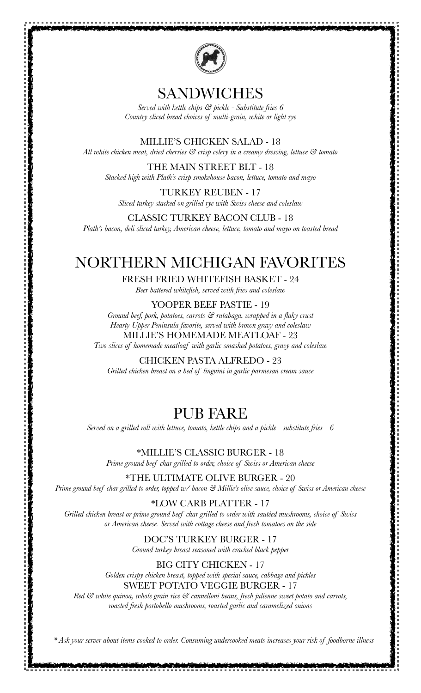

#### SANDWICHES

*Served with kettle chips & pickle - Substitute fries 6 Country sliced bread choices of multi-grain, white or light rye*

MILLIE'S CHICKEN SALAD - 18

*All white chicken meat, dried cherries & crisp celery in a creamy dressing, lettuce & tomato*

THE MAIN STREET BLT - 18 *Stacked high with Plath's crisp smokehouse bacon, lettuce, tomato and mayo*

TURKEY REUBEN - 17 *Sliced turkey stacked on grilled rye with Swiss cheese and coleslaw*

CLASSIC TURKEY BACON CLUB - 18

*Plath's bacon, deli sliced turkey, American cheese, lettuce, tomato and mayo on toasted bread*

# NORTHERN MICHIGAN FAVORITES

FRESH FRIED WHITEFISH BASKET - 24

*Beer battered whitefish, served with fries and coleslaw*

YOOPER BEEF PASTIE - 19

*Ground beef, pork, potatoes, carrots & rutabaga, wrapped in a flaky crust Hearty Upper Peninsula favorite, served with brown gravy and coleslaw*  MILLIE'S HOMEMADE MEATLOAF - 23

*Two slices of homemade meatloaf with garlic smashed potatoes, gravy and coleslaw*

CHICKEN PASTA ALFREDO - 23

*Grilled chicken breast on a bed of linguini in garlic parmesan cream sauce*

## PUB FARE

*Served on a grilled roll with lettuce, tomato, kettle chips and a pickle - substitute fries - 6*

\*MILLIE'S CLASSIC BURGER - 18

*Prime ground beef char grilled to order, choice of Swiss or American cheese*

\*THE ULTIMATE OLIVE BURGER - 20 *Prime ground beef char grilled to order, topped w/ bacon & Millie's olive sauce, choice of Swiss or American cheese*

\*LOW CARB PLATTER - 17 *Grilled chicken breast or prime ground beef char grilled to order with sautéed mushrooms, choice of Swiss or American cheese. Served with cottage cheese and fresh tomatoes on the side*

DOC'S TURKEY BURGER - 17

*Ground turkey breast seasoned with cracked black pepper*

BIG CITY CHICKEN - 17 *Golden crispy chicken breast, topped with special sauce, cabbage and pickles* SWEET POTATO VEGGIE BURGER - 17

*Red & white quinoa, whole grain rice & cannelloni beans, fresh julienne sweet potato and carrots, roasted fresh portobello mushrooms, roasted garlic and caramelized onions*

*\* Ask your server about items cooked to order. Consuming undercooked meats increases your risk of foodborne illness*